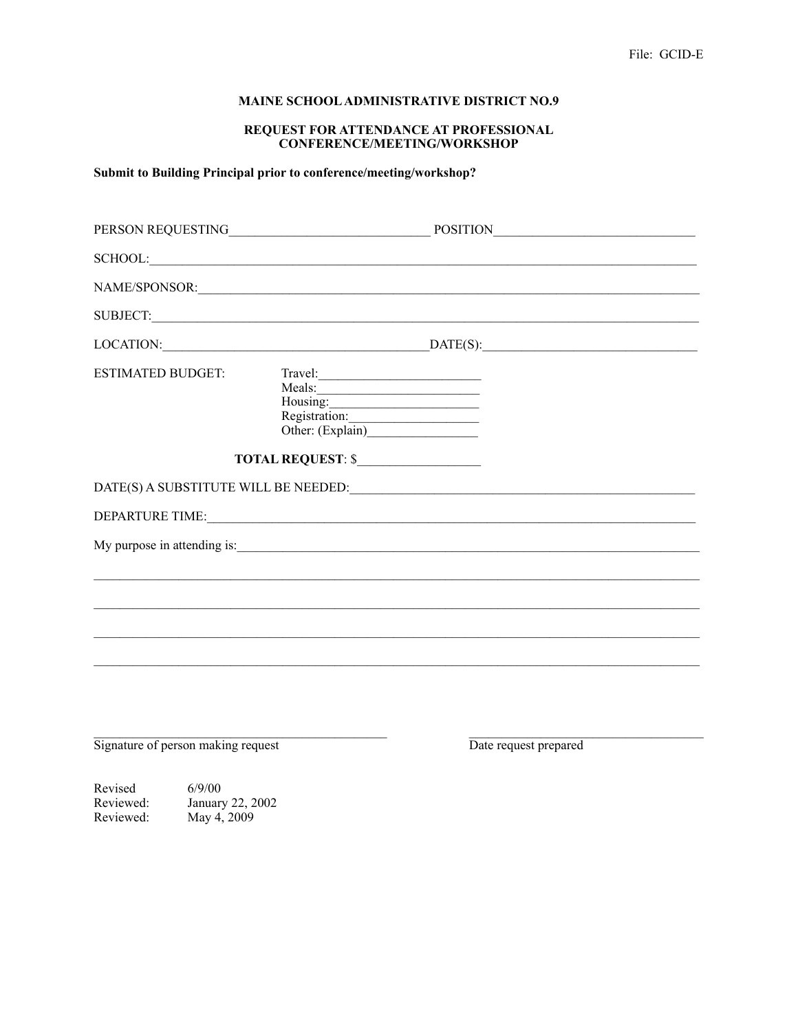## MAINE SCHOOL ADMINISTRATIVE DISTRICT NO.9

## REQUEST FOR ATTENDANCE AT PROFESSIONAL CONFERENCE/MEETING/WORKSHOP

## Submit to Building Principal prior to conference/meeting/workshop?

| PERSON REQUESTING           |                     | POSITION                             |
|-----------------------------|---------------------|--------------------------------------|
|                             |                     |                                      |
|                             |                     |                                      |
|                             |                     |                                      |
|                             |                     | $\text{LOCATION:}$ $\text{DATE(S):}$ |
| <b>ESTIMATED BUDGET:</b>    | Travel:<br>Housing: |                                      |
|                             | TOTAL REQUEST: \$   |                                      |
|                             |                     |                                      |
|                             |                     |                                      |
| My purpose in attending is: |                     |                                      |
|                             |                     |                                      |
|                             |                     |                                      |
|                             |                     |                                      |
|                             |                     |                                      |
|                             |                     |                                      |

Signature of person making request

Date request prepared

Revised  $6/9/00$ January 22, 2002<br>May 4, 2009 Reviewed: Reviewed: